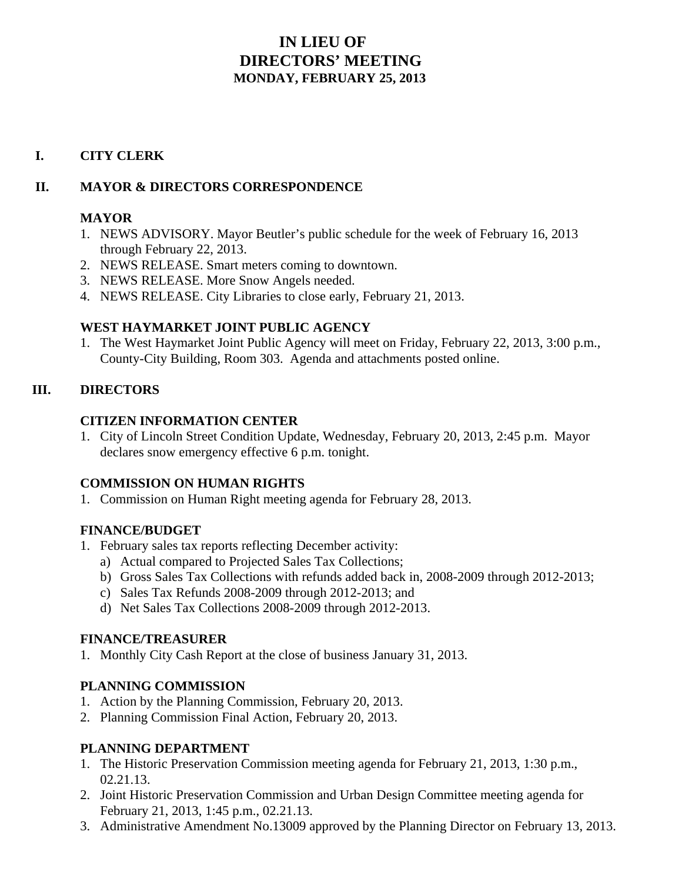# **IN LIEU OF DIRECTORS' MEETING MONDAY, FEBRUARY 25, 2013**

#### **I. CITY CLERK**

#### **II. MAYOR & DIRECTORS CORRESPONDENCE**

#### **MAYOR**

- 1. NEWS ADVISORY. Mayor Beutler's public schedule for the week of February 16, 2013 through February 22, 2013.
- 2. NEWS RELEASE. Smart meters coming to downtown.
- 3. NEWS RELEASE. More Snow Angels needed.
- 4. NEWS RELEASE. City Libraries to close early, February 21, 2013.

## **WEST HAYMARKET JOINT PUBLIC AGENCY**

1. The West Haymarket Joint Public Agency will meet on Friday, February 22, 2013, 3:00 p.m., County-City Building, Room 303. Agenda and attachments posted online.

#### **III. DIRECTORS**

#### **CITIZEN INFORMATION CENTER**

1. City of Lincoln Street Condition Update, Wednesday, February 20, 2013, 2:45 p.m. Mayor declares snow emergency effective 6 p.m. tonight.

## **COMMISSION ON HUMAN RIGHTS**

1. Commission on Human Right meeting agenda for February 28, 2013.

## **FINANCE/BUDGET**

- 1. February sales tax reports reflecting December activity:
	- a) Actual compared to Projected Sales Tax Collections;
	- b) Gross Sales Tax Collections with refunds added back in, 2008-2009 through 2012-2013;
	- c) Sales Tax Refunds 2008-2009 through 2012-2013; and
	- d) Net Sales Tax Collections 2008-2009 through 2012-2013.

#### **FINANCE/TREASURER**

1. Monthly City Cash Report at the close of business January 31, 2013.

## **PLANNING COMMISSION**

- 1. Action by the Planning Commission, February 20, 2013.
- 2. Planning Commission Final Action, February 20, 2013.

## **PLANNING DEPARTMENT**

- 1. The Historic Preservation Commission meeting agenda for February 21, 2013, 1:30 p.m., 02.21.13.
- 2. Joint Historic Preservation Commission and Urban Design Committee meeting agenda for February 21, 2013, 1:45 p.m., 02.21.13.
- 3. Administrative Amendment No.13009 approved by the Planning Director on February 13, 2013.